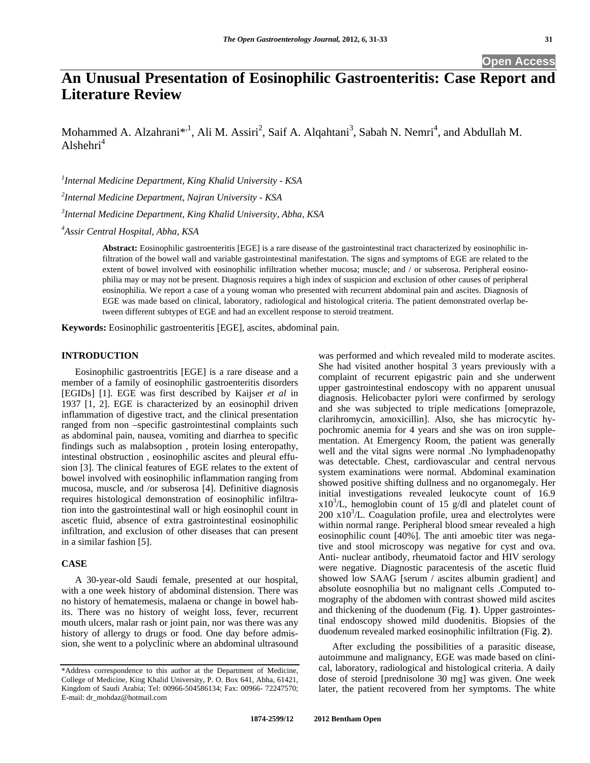# **An Unusual Presentation of Eosinophilic Gastroenteritis: Case Report and Literature Review**

Mohammed A. Alzahrani<sup>\*, 1</sup>, Ali M. Assiri<sup>2</sup>, Saif A. Alqahtani<sup>3</sup>, Sabah N. Nemri<sup>4</sup>, and Abdullah M.  $Alshehri<sup>4</sup>$ 

*1 Internal Medicine Department, King Khalid University - KSA 2 Internal Medicine Department, Najran University - KSA 3 Internal Medicine Department, King Khalid University, Abha, KSA* 

*4 Assir Central Hospital, Abha, KSA* 

**Abstract:** Eosinophilic gastroenteritis [EGE] is a rare disease of the gastrointestinal tract characterized by eosinophilic infiltration of the bowel wall and variable gastrointestinal manifestation. The signs and symptoms of EGE are related to the extent of bowel involved with eosinophilic infiltration whether mucosa; muscle; and / or subserosa. Peripheral eosinophilia may or may not be present. Diagnosis requires a high index of suspicion and exclusion of other causes of peripheral eosinophilia. We report a case of a young woman who presented with recurrent abdominal pain and ascites. Diagnosis of EGE was made based on clinical, laboratory, radiological and histological criteria. The patient demonstrated overlap between different subtypes of EGE and had an excellent response to steroid treatment.

**Keywords:** Eosinophilic gastroenteritis [EGE], ascites, abdominal pain.

# **INTRODUCTION**

 Eosinophilic gastroentritis [EGE] is a rare disease and a member of a family of eosinophilic gastroenteritis disorders [EGIDs] [1]. EGE was first described by Kaijser *et al* in 1937 [1, 2]. EGE is characterized by an eosinophil driven inflammation of digestive tract, and the clinical presentation ranged from non –specific gastrointestinal complaints such as abdominal pain, nausea, vomiting and diarrhea to specific findings such as malabsoption , protein losing enteropathy, intestinal obstruction , eosinophilic ascites and pleural effusion [3]. The clinical features of EGE relates to the extent of bowel involved with eosinophilic inflammation ranging from mucosa, muscle, and /or subserosa [4]. Definitive diagnosis requires histological demonstration of eosinophilic infiltration into the gastrointestinal wall or high eosinophil count in ascetic fluid, absence of extra gastrointestinal eosinophilic infiltration, and exclusion of other diseases that can present in a similar fashion [5].

## **CASE**

 A 30-year-old Saudi female, presented at our hospital, with a one week history of abdominal distension. There was no history of hematemesis, malaena or change in bowel habits. There was no history of weight loss, fever, recurrent mouth ulcers, malar rash or joint pain, nor was there was any history of allergy to drugs or food. One day before admission, she went to a polyclinic where an abdominal ultrasound was performed and which revealed mild to moderate ascites. She had visited another hospital 3 years previously with a complaint of recurrent epigastric pain and she underwent upper gastrointestinal endoscopy with no apparent unusual diagnosis. Helicobacter pylori were confirmed by serology and she was subjected to triple medications [omeprazole, clarihromycin, amoxicillin]. Also, she has microcytic hypochromic anemia for 4 years and she was on iron supplementation. At Emergency Room, the patient was generally well and the vital signs were normal .No lymphadenopathy was detectable. Chest, cardiovascular and central nervous system examinations were normal. Abdominal examination showed positive shifting dullness and no organomegaly. Her initial investigations revealed leukocyte count of 16.9  $x10<sup>3</sup>/L$ , hemoglobin count of 15 g/dl and platelet count of  $200 \times 10^3$ /L. Coagulation profile, urea and electrolytes were within normal range. Peripheral blood smear revealed a high eosinophilic count [40%]. The anti amoebic titer was negative and stool microscopy was negative for cyst and ova. Anti- nuclear antibody, rheumatoid factor and HIV serology were negative. Diagnostic paracentesis of the ascetic fluid showed low SAAG [serum / ascites albumin gradient] and absolute eosnophilia but no malignant cells .Computed tomography of the abdomen with contrast showed mild ascites and thickening of the duodenum (Fig. **1**). Upper gastrointestinal endoscopy showed mild duodenitis. Biopsies of the duodenum revealed marked eosinophilic infiltration (Fig. **2**).

 After excluding the possibilities of a parasitic disease, autoimmune and malignancy, EGE was made based on clinical, laboratory, radiological and histological criteria. A daily dose of steroid [prednisolone 30 mg] was given. One week later, the patient recovered from her symptoms. The white

<sup>\*</sup>Address correspondence to this author at the Department of Medicine, College of Medicine, King Khalid University, P. O. Box 641, Abha, 61421, Kingdom of Saudi Arabia; Tel: 00966-504586134; Fax: 00966- 72247570; E-mail: dr\_mohdaz@hotmail.com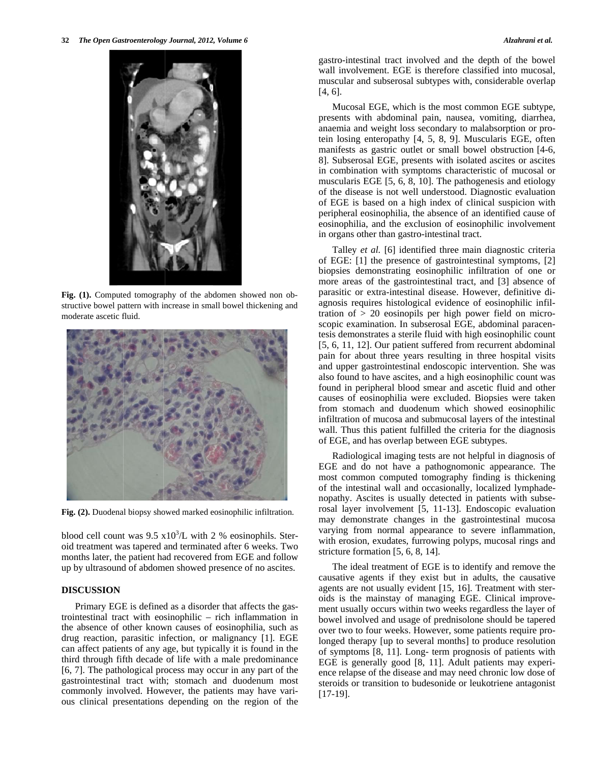

**Fig. (1).** Computed tomography of the abdomen showed non obstructive bowel pattern with increase in small bowel thickening and moderate ascetic fluid.



**Fig. (2).** Duodenal biopsy showed marked eosinophilic infiltration.

blood cell count was  $9.5 \times 10^3$ /L with 2 % eosinophils. Steroid treatment was tapered and terminated after 6 weeks. Two months later, the patient had recovered from EGE and follow up by ultrasound of abdomen showed presence of no ascites.

# **DISCUSSION**

 Primary EGE is defined as a disorder that affects the gastrointestinal tract with eosinophilic – rich inflammation in the absence of other known causes of eosinophilia, such as drug reaction, parasitic infection, or malignancy [1]. EGE can affect patients of any age, but typically it is found in the third through fifth decade of life with a male predominance [6, 7]. The pathological process may occur in any part of the gastrointestinal tract with; stomach and duodenum most commonly involved. However, the patients may have various clinical presentations depending on the region of the gastro-intestinal tract involved and the depth of the bowel wall involvement. EGE is therefore classified into mucosal, muscular and subserosal subtypes with, considerable overlap [4, 6].

 Mucosal EGE, which is the most common EGE subtype, presents with abdominal pain, nausea, vomiting, diarrhea, anaemia and weight loss secondary to malabsorption or protein losing enteropathy [4, 5, 8, 9]. Muscularis EGE, often manifests as gastric outlet or small bowel obstruction [4-6, 8]. Subserosal EGE, presents with isolated ascites or ascites in combination with symptoms characteristic of mucosal or muscularis EGE [5, 6, 8, 10]. The pathogenesis and etiology of the disease is not well understood. Diagnostic evaluation of EGE is based on a high index of clinical suspicion with peripheral eosinophilia, the absence of an identified cause of eosinophilia, and the exclusion of eosinophilic involvement in organs other than gastro-intestinal tract.

 Talley *et al.* [6] identified three main diagnostic criteria of EGE: [1] the presence of gastrointestinal symptoms, [2] biopsies demonstrating eosinophilic infiltration of one or more areas of the gastrointestinal tract, and [3] absence of parasitic or extra-intestinal disease. However, definitive diagnosis requires histological evidence of eosinophilic infiltration of > 20 eosinopils per high power field on microscopic examination. In subserosal EGE, abdominal paracentesis demonstrates a sterile fluid with high eosinophilic count [5, 6, 11, 12]. Our patient suffered from recurrent abdominal pain for about three years resulting in three hospital visits and upper gastrointestinal endoscopic intervention. She was also found to have ascites, and a high eosinophilic count was found in peripheral blood smear and ascetic fluid and other causes of eosinophilia were excluded. Biopsies were taken from stomach and duodenum which showed eosinophilic infiltration of mucosa and submucosal layers of the intestinal wall. Thus this patient fulfilled the criteria for the diagnosis of EGE, and has overlap between EGE subtypes.

 Radiological imaging tests are not helpful in diagnosis of EGE and do not have a pathognomonic appearance. The most common computed tomography finding is thickening of the intestinal wall and occasionally, localized lymphadenopathy. Ascites is usually detected in patients with subserosal layer involvement [5, 11-13]. Endoscopic evaluation may demonstrate changes in the gastrointestinal mucosa varying from normal appearance to severe inflammation, with erosion, exudates, furrowing polyps, mucosal rings and stricture formation [5, 6, 8, 14].

 The ideal treatment of EGE is to identify and remove the causative agents if they exist but in adults, the causative agents are not usually evident [15, 16]. Treatment with steroids is the mainstay of managing EGE. Clinical improvement usually occurs within two weeks regardless the layer of bowel involved and usage of prednisolone should be tapered over two to four weeks. However, some patients require prolonged therapy [up to several months] to produce resolution of symptoms [8, 11]. Long- term prognosis of patients with EGE is generally good [8, 11]. Adult patients may experience relapse of the disease and may need chronic low dose of steroids or transition to budesonide or leukotriene antagonist [17-19].